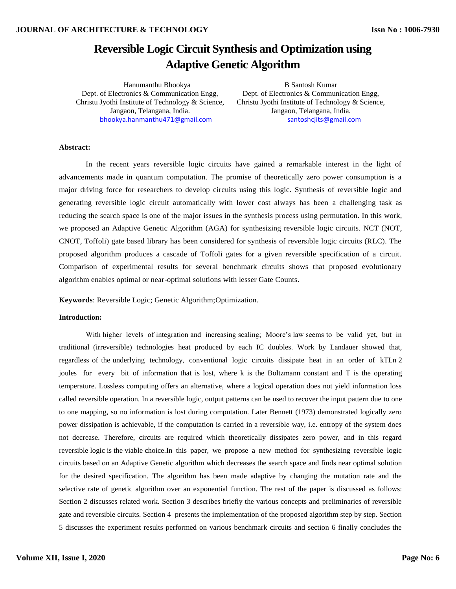# **Reversible Logic Circuit Synthesis and Optimization using Adaptive Genetic Algorithm**

Hanumanthu Bhookya B Santosh Kumar Dept. of Electronics & Communication Engg, Dept. of Electronics & Communication Engg, [bhookya.hanmanthu471@gmail.com](mailto:bhookya.hanmanthu471@gmail.com) [santoshcjits@gmail.com](mailto:santoshcjits@gmail.com)

Christu Jyothi Institute of Technology & Science, Christu Jyothi Institute of Technology & Science, Jangaon, Telangana, India. Jangaon, Telangana, India.

# **Abstract:**

In the recent years reversible logic circuits have gained a remarkable interest in the light of advancements made in quantum computation. The promise of theoretically zero power consumption is a major driving force for researchers to develop circuits using this logic. Synthesis of reversible logic and generating reversible logic circuit automatically with lower cost always has been a challenging task as reducing the search space is one of the major issues in the synthesis process using permutation. In this work, we proposed an Adaptive Genetic Algorithm (AGA) for synthesizing reversible logic circuits. NCT (NOT, CNOT, Toffoli) gate based library has been considered for synthesis of reversible logic circuits (RLC). The proposed algorithm produces a cascade of Toffoli gates for a given reversible specification of a circuit. Comparison of experimental results for several benchmark circuits shows that proposed evolutionary algorithm enables optimal or near-optimal solutions with lesser Gate Counts.

**Keywords**: Reversible Logic; Genetic Algorithm;Optimization.

## **Introduction:**

With higher levels of integration and increasing scaling; Moore's law seems to be valid yet, but in traditional (irreversible) technologies heat produced by each IC doubles. Work by Landauer showed that, regardless of the underlying technology, conventional logic circuits dissipate heat in an order of kTLn 2 joules for every bit of information that is lost, where k is the Boltzmann constant and T is the operating temperature. Lossless computing offers an alternative, where a logical operation does not yield information loss called reversible operation. In a reversible logic, output patterns can be used to recover the input pattern due to one to one mapping, so no information is lost during computation. Later Bennett (1973) demonstrated logically zero power dissipation is achievable, if the computation is carried in a reversible way, i.e. entropy of the system does not decrease. Therefore, circuits are required which theoretically dissipates zero power, and in this regard reversible logic is the viable choice.In this paper, we propose a new method for synthesizing reversible logic circuits based on an Adaptive Genetic algorithm which decreases the search space and finds near optimal solution for the desired specification. The algorithm has been made adaptive by changing the mutation rate and the selective rate of genetic algorithm over an exponential function. The rest of the paper is discussed as follows: Section 2 discusses related work. Section 3 describes briefly the various concepts and preliminaries of reversible gate and reversible circuits. Section 4 presents the implementation of the proposed algorithm step by step. Section 5 discusses the experiment results performed on various benchmark circuits and section 6 finally concludes the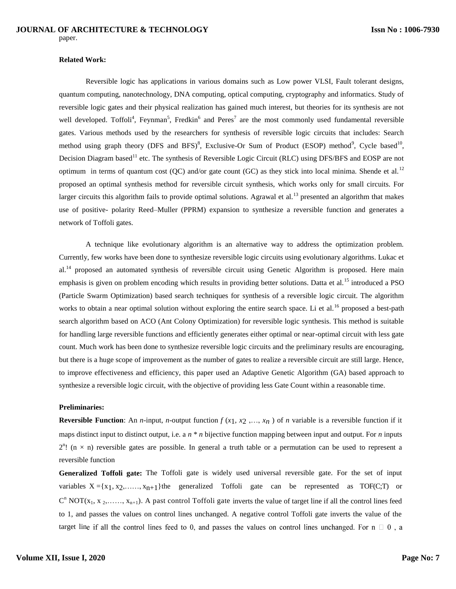#### **Related Work:**

Reversible logic has applications in various domains such as Low power VLSI, Fault tolerant designs, quantum computing, nanotechnology, DNA computing, optical computing, cryptography and informatics. Study of reversible logic gates and their physical realization has gained much interest, but theories for its synthesis are not well developed. Toffoli<sup>4</sup>, Feynman<sup>5</sup>, Fredkin<sup>6</sup> and Peres<sup>7</sup> are the most commonly used fundamental reversible gates. Various methods used by the researchers for synthesis of reversible logic circuits that includes: Search method using graph theory (DFS and BFS)<sup>8</sup>, Exclusive-Or Sum of Product (ESOP) method<sup>9</sup>, Cycle based<sup>10</sup>, Decision Diagram based<sup>11</sup> etc. The synthesis of Reversible Logic Circuit (RLC) using DFS/BFS and EOSP are not optimum in terms of quantum cost  $(QC)$  and/or gate count  $(GC)$  as they stick into local minima. Shende et al.<sup>12</sup> proposed an optimal synthesis method for reversible circuit synthesis, which works only for small circuits. For larger circuits this algorithm fails to provide optimal solutions. Agrawal et al.<sup>13</sup> presented an algorithm that makes use of positive- polarity Reed–Muller (PPRM) expansion to synthesize a reversible function and generates a network of Toffoli gates.

A technique like evolutionary algorithm is an alternative way to address the optimization problem. Currently, few works have been done to synthesize reversible logic circuits using evolutionary algorithms. Lukac et al.<sup>14</sup> proposed an automated synthesis of reversible circuit using Genetic Algorithm is proposed. Here main emphasis is given on problem encoding which results in providing better solutions. Datta et al.<sup>15</sup> introduced a PSO (Particle Swarm Optimization) based search techniques for synthesis of a reversible logic circuit. The algorithm works to obtain a near optimal solution without exploring the entire search space. Li et al.<sup>16</sup> proposed a best-path search algorithm based on ACO (Ant Colony Optimization) for reversible logic synthesis. This method is suitable for handling large reversible functions and efficiently generates either optimal or near-optimal circuit with less gate count. Much work has been done to synthesize reversible logic circuits and the preliminary results are encouraging, but there is a huge scope of improvement as the number of gates to realize a reversible circuit are still large. Hence, to improve effectiveness and efficiency, this paper used an Adaptive Genetic Algorithm (GA) based approach to synthesize a reversible logic circuit, with the objective of providing less Gate Count within a reasonable time.

#### **Preliminaries:**

**Reversible Function**: An *n*-input, *n*-output function  $f(x_1, x_2, ..., x_n)$  of *n* variable is a reversible function if it maps distinct input to distinct output, i.e. a *n* \* *n* bijective function mapping between input and output. For *n* inputs  $2^{n}$ ! (n  $\times$  n) reversible gates are possible. In general a truth table or a permutation can be used to represent a reversible function

**Generalized Toffoli gate:** The Toffoli gate is widely used universal reversible gate. For the set of input variables  $X = \{x_1, x_2, \ldots, x_{n+1}\}$ the generalized Toffoli gate can be represented as TOF(C;T) or  $C<sup>n</sup> NOT(x<sub>1</sub>, x<sub>2</sub>,..., x<sub>n+1</sub>)$ . A past control Toffoli gate inverts the value of target line if all the control lines feed to 1, and passes the values on control lines unchanged. A negative control Toffoli gate inverts the value of the target line if all the control lines feed to 0, and passes the values on control lines unchanged. For  $n \square 0$ , a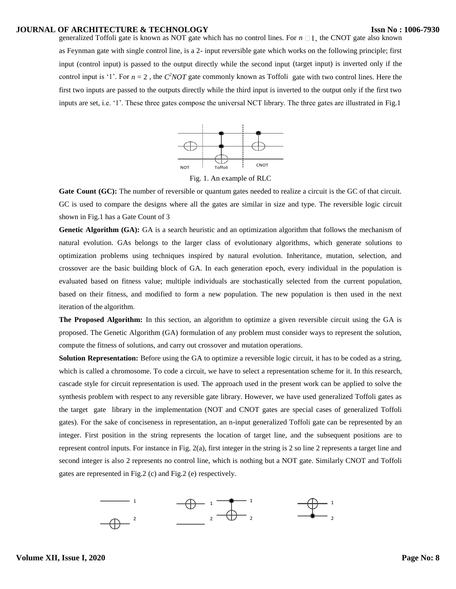## **JOURNAL OF ARCHITECTURE & TECHNOLOGY**

generalized Toffoli gate is known as NOT gate which has no control lines. For  $n \Box 1$ , the CNOT gate also known as Feynman gate with single control line, is a 2- input reversible gate which works on the following principle; first input (control input) is passed to the output directly while the second input (target input) is inverted only if the control input is '1'. For  $n = 2$ , the  $C^2 NOT$  gate commonly known as Toffoli gate with two control lines. Here the first two inputs are passed to the outputs directly while the third input is inverted to the output only if the first two inputs are set, i.e. '1'. These three gates compose the universal NCT library. The three gates are illustrated in Fig.1



Fig. 1. An example of RLC

**Gate Count (GC):** The number of reversible or quantum gates needed to realize a circuit is the GC of that circuit. GC is used to compare the designs where all the gates are similar in size and type. The reversible logic circuit shown in Fig.1 has a Gate Count of 3

**Genetic Algorithm (GA):** GA is a search heuristic and an optimization algorithm that follows the mechanism of natural evolution. GAs belongs to the larger class of evolutionary algorithms, which generate solutions to optimization problems using techniques inspired by natural evolution. Inheritance, mutation, selection, and crossover are the basic building block of GA. In each generation epoch, every individual in the population is evaluated based on fitness value; multiple individuals are stochastically selected from the current population, based on their fitness, and modified to form a new population. The new population is then used in the next iteration of the algorithm.

**The Proposed Algorithm:** In this section, an algorithm to optimize a given reversible circuit using the GA is proposed. The Genetic Algorithm (GA) formulation of any problem must consider ways to represent the solution, compute the fitness of solutions, and carry out crossover and mutation operations.

**Solution Representation:** Before using the GA to optimize a reversible logic circuit, it has to be coded as a string, which is called a chromosome. To code a circuit, we have to select a representation scheme for it. In this research, cascade style for circuit representation is used. The approach used in the present work can be applied to solve the synthesis problem with respect to any reversible gate library. However, we have used generalized Toffoli gates as the target gate library in the implementation (NOT and CNOT gates are special cases of generalized Toffoli gates). For the sake of conciseness in representation, an n-input generalized Toffoli gate can be represented by an integer. First position in the string represents the location of target line, and the subsequent positions are to represent control inputs. For instance in Fig. 2(a), first integer in the string is 2 so line 2 represents a target line and second integer is also 2 represents no control line, which is nothing but a NOT gate. Similarly CNOT and Toffoli gates are represented in Fig.2 (c) and Fig.2 (e) respectively.

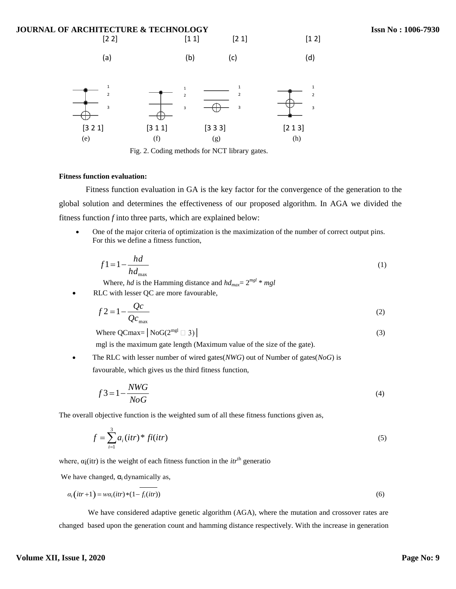

Fig. 2. Coding methods for NCT library gates.

# **Fitness function evaluation:**

Fitness function evaluation in GA is the key factor for the convergence of the generation to the global solution and determines the effectiveness of our proposed algorithm. In AGA we divided the fitness function *f* into three parts, which are explained below:

 One of the major criteria of optimization is the maximization of the number of correct output pins. For this we define a fitness function,

$$
f1 = 1 - \frac{hd}{hd_{\text{max}}}
$$
 (1)

Where, *hd* is the Hamming distance and  $hd_{max} = 2^{mgl} * mgl$ 

RLC with lesser QC are more favourable,

$$
f2 = 1 - \frac{Qc}{Qc_{\text{max}}}
$$
 (2)

Where  $QCmax = |N \circ G(2^{mgl} \Box 3)|$  (3)

mgl is the maximum gate length (Maximum value of the size of the gate).

 The RLC with lesser number of wired gates(*NWG*) out of Number of gates(*NoG*) is favourable, which gives us the third fitness function,

*NoG*  $f3 = 1 - \frac{NWG}{NSG}$  (4)

The overall objective function is the weighted sum of all these fitness functions given as,

$$
f = \sum_{i=1}^{3} a_i (itr)^* f\mathbf{i}(itr)
$$
\n<sup>(5)</sup>

where,  $\alpha_i$ (itr) is the weight of each fitness function in the *itr*<sup>th</sup> generatio

We have changed,  $\alpha_i$  dynamically as,

$$
\alpha_i\bigl(itr + 1\bigr) = w\alpha_i (itr) * (1 - f_i (itr))
$$
\n(6)

We have considered adaptive genetic algorithm (AGA), where the mutation and crossover rates are changed based upon the generation count and hamming distance respectively. With the increase in generation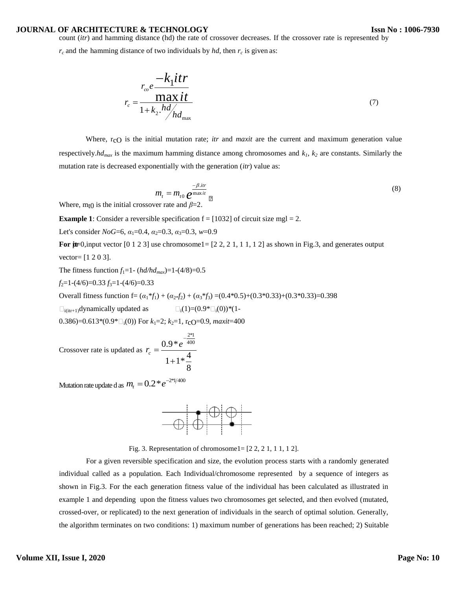## **JOURNAL OF ARCHITECTURE & TECHNOLOGY**

count (*itr*) and hamming distance (hd) the rate of crossover decreases. If the crossover rate is represented by

*r<sup>c</sup>* and the hamming distance of two individuals by *hd*, then *r<sup>c</sup>* is given as:

$$
r_{co}e\frac{-k_1itr}{1+k_2.h d_{max}} \tag{7}
$$

Where, r<sub>c</sub>O is the initial mutation rate; *itr* and *maxit* are the current and maximum generation value respectively. $hd_{max}$  is the maximum hamming distance among chromosomes and  $k_1$ ,  $k_2$  are constants. Similarly the mutation rate is decreased exponentially with the generation (*itr*) value as:

$$
m_{t} = m_{t0} e^{\frac{-\beta \cdot \text{irr}}{\max t}} \tag{8}
$$

Where, m<sub>t</sub> $\theta$  is the initial crossover rate and  $\beta$ =2.

**Example 1**: Consider a reversible specification  $f = [1032]$  of circuit size mgl = 2.

Let's consider *NoG*=6,  $\alpha_1$ =0.4,  $\alpha_2$ =0.3,  $\alpha_3$ =0.3,  $w$ =0.9

**For**  $\textbf{p}$   $\textbf{p}$  = 0, input vector [0 1 2 3] use chromosome1= [2 2, 2 1, 1 1, 1 2] as shown in Fig.3, and generates output vector= [1 2 0 3].

The fitness function  $f_1 = 1 - (hd/hd_{max}) = 1 - (4/8) = 0.5$ 

$$
f_2=1-(4/6)=0.33 f_3=1-(4/6)=0.33
$$

Overall fitness function f=  $(a_1 * f_1) + (a_2 * f_2) + (a_3 * f_3) = (0.4 * 0.5) + (0.3 * 0.33) + (0.3 * 0.33) = 0.398$ 

 $\Box_{i(itr+1)}$ dynamically updated as  $\Box_i(1)=(0.9^* \Box_i(0))^*(1-$ 

0.386)=0.613\*(0.9\* $\square_i(0)$ ) For  $k_1=2$ ;  $k_2=1$ , r<sub>c</sub>O=0.9, *maxit*=400

Crossover rate is updated as 
$$
r_c = \frac{0.9 * e^{-\frac{2*1}{400}}}{1 + 1 * \frac{4}{8}}
$$

Mutation rate update d as  $m_{\scriptscriptstyle \ell} = 0.2$   $^*e^{-2\scriptscriptstyle\rm {}^{*}1/400}$ 



Fig. 3. Representation of chromosome1= [2 2, 2 1, 1 1, 1 2].

For a given reversible specification and size, the evolution process starts with a randomly generated individual called as a population. Each Individual/chromosome represented by a sequence of integers as shown in Fig.3. For the each generation fitness value of the individual has been calculated as illustrated in example 1 and depending upon the fitness values two chromosomes get selected, and then evolved (mutated, crossed-over, or replicated) to the next generation of individuals in the search of optimal solution. Generally, the algorithm terminates on two conditions: 1) maximum number of generations has been reached; 2) Suitable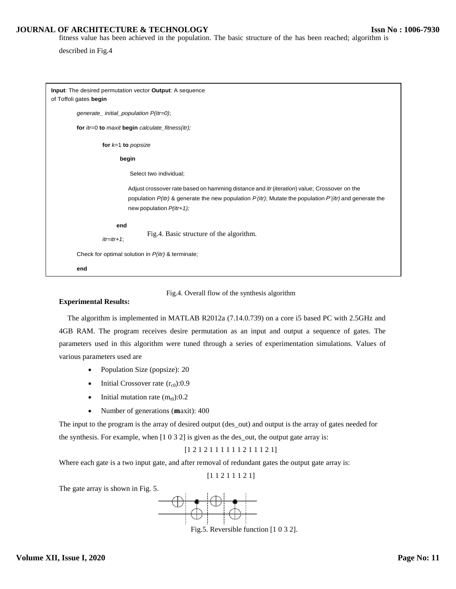## **JOURNAL OF ARCHITECTURE & TECHNOLOGY**

fitness value has been achieved in the population. The basic structure of the has been reached; algorithm is

described in Fig.4

| Input: The desired permutation vector Output: A sequence<br>of Toffoli gates begin                                                                                                                                                                 |  |  |  |  |
|----------------------------------------------------------------------------------------------------------------------------------------------------------------------------------------------------------------------------------------------------|--|--|--|--|
| generate_initial_population P(itr=0);                                                                                                                                                                                                              |  |  |  |  |
| for itr=0 to maxit begin calculate_fitness(itr);                                                                                                                                                                                                   |  |  |  |  |
| for $k=1$ to popsize                                                                                                                                                                                                                               |  |  |  |  |
| begin                                                                                                                                                                                                                                              |  |  |  |  |
| Select two individual;                                                                                                                                                                                                                             |  |  |  |  |
| Adjust crossover rate based on hamming distance and <i>itr (iteration)</i> value; Crossover on the<br>population $P(itr)$ & generate the new population $P(itr)$ ; Mutate the population $P'(itr)$ and generate the<br>new population $P(itr+1)$ ; |  |  |  |  |
| end<br>Fig.4. Basic structure of the algorithm.<br>$itr =itr + 1$ ;                                                                                                                                                                                |  |  |  |  |
| Check for optimal solution in P(itr) & terminate;                                                                                                                                                                                                  |  |  |  |  |
| end                                                                                                                                                                                                                                                |  |  |  |  |

Fig.4. Overall flow of the synthesis algorithm

#### **Experimental Results:**

The algorithm is implemented in MATLAB R2012a (7.14.0.739) on a core i5 based PC with 2.5GHz and 4GB RAM. The program receives desire permutation as an input and output a sequence of gates. The parameters used in this algorithm were tuned through a series of experimentation simulations. Values of various parameters used are

- Population Size (popsize): 20
- Initial Crossover rate  $(r<sub>c0</sub>)$ :0.9
- Initial mutation rate  $(m_{t0})$ :0.2
- Number of generations (maxit): 400

The input to the program is the array of desired output (des\_out) and output is the array of gates needed for the synthesis. For example, when [1 0 3 2] is given as the des\_out, the output gate array is:

# [1 2 1 2 1 1 1 1 1 1 2 1 1 1 2 1]

Where each gate is a two input gate, and after removal of redundant gates the output gate array is:

[1 1 2 1 1 1 2 1]

The gate array is shown in Fig. 5.



Fig.5. Reversible function [1 0 3 2].